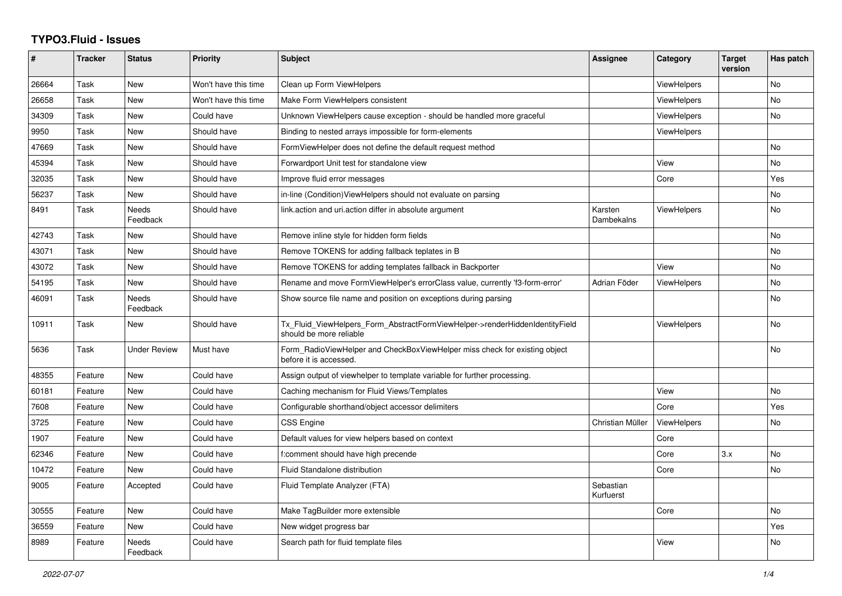## **TYPO3.Fluid - Issues**

| #     | <b>Tracker</b> | <b>Status</b>       | <b>Priority</b>      | <b>Subject</b>                                                                                         | <b>Assignee</b>        | Category           | <b>Target</b><br>version | Has patch      |
|-------|----------------|---------------------|----------------------|--------------------------------------------------------------------------------------------------------|------------------------|--------------------|--------------------------|----------------|
| 26664 | Task           | <b>New</b>          | Won't have this time | Clean up Form ViewHelpers                                                                              |                        | ViewHelpers        |                          | <b>No</b>      |
| 26658 | Task           | New                 | Won't have this time | Make Form ViewHelpers consistent                                                                       |                        | <b>ViewHelpers</b> |                          | <b>No</b>      |
| 34309 | Task           | New                 | Could have           | Unknown ViewHelpers cause exception - should be handled more graceful                                  |                        | <b>ViewHelpers</b> |                          | No             |
| 9950  | Task           | New                 | Should have          | Binding to nested arrays impossible for form-elements                                                  |                        | ViewHelpers        |                          |                |
| 47669 | Task           | New                 | Should have          | FormViewHelper does not define the default request method                                              |                        |                    |                          | <b>No</b>      |
| 45394 | Task           | New                 | Should have          | Forwardport Unit test for standalone view                                                              |                        | View               |                          | No             |
| 32035 | Task           | New                 | Should have          | Improve fluid error messages                                                                           |                        | Core               |                          | Yes            |
| 56237 | Task           | New                 | Should have          | in-line (Condition) View Helpers should not evaluate on parsing                                        |                        |                    |                          | <b>No</b>      |
| 8491  | Task           | Needs<br>Feedback   | Should have          | link.action and uri.action differ in absolute argument                                                 | Karsten<br>Dambekalns  | <b>ViewHelpers</b> |                          | <b>No</b>      |
| 42743 | Task           | New                 | Should have          | Remove inline style for hidden form fields                                                             |                        |                    |                          | <b>No</b>      |
| 43071 | Task           | <b>New</b>          | Should have          | Remove TOKENS for adding fallback teplates in B                                                        |                        |                    |                          | <b>No</b>      |
| 43072 | Task           | <b>New</b>          | Should have          | Remove TOKENS for adding templates fallback in Backporter                                              |                        | View               |                          | <b>No</b>      |
| 54195 | Task           | New                 | Should have          | Rename and move FormViewHelper's errorClass value, currently 'f3-form-error'                           | Adrian Föder           | ViewHelpers        |                          | <b>No</b>      |
| 46091 | Task           | Needs<br>Feedback   | Should have          | Show source file name and position on exceptions during parsing                                        |                        |                    |                          | No             |
| 10911 | Task           | New                 | Should have          | Tx_Fluid_ViewHelpers_Form_AbstractFormViewHelper->renderHiddenIdentityField<br>should be more reliable |                        | <b>ViewHelpers</b> |                          | No             |
| 5636  | Task           | <b>Under Review</b> | Must have            | Form_RadioViewHelper and CheckBoxViewHelper miss check for existing object<br>before it is accessed.   |                        |                    |                          | N <sub>o</sub> |
| 48355 | Feature        | <b>New</b>          | Could have           | Assign output of viewhelper to template variable for further processing.                               |                        |                    |                          |                |
| 60181 | Feature        | New                 | Could have           | Caching mechanism for Fluid Views/Templates                                                            |                        | View               |                          | No             |
| 7608  | Feature        | <b>New</b>          | Could have           | Configurable shorthand/object accessor delimiters                                                      |                        | Core               |                          | Yes            |
| 3725  | Feature        | <b>New</b>          | Could have           | <b>CSS Engine</b>                                                                                      | Christian Müller       | <b>ViewHelpers</b> |                          | <b>No</b>      |
| 1907  | Feature        | New                 | Could have           | Default values for view helpers based on context                                                       |                        | Core               |                          |                |
| 62346 | Feature        | New                 | Could have           | f:comment should have high precende                                                                    |                        | Core               | 3.x                      | No             |
| 10472 | Feature        | <b>New</b>          | Could have           | Fluid Standalone distribution                                                                          |                        | Core               |                          | <b>No</b>      |
| 9005  | Feature        | Accepted            | Could have           | Fluid Template Analyzer (FTA)                                                                          | Sebastian<br>Kurfuerst |                    |                          |                |
| 30555 | Feature        | New                 | Could have           | Make TagBuilder more extensible                                                                        |                        | Core               |                          | No             |
| 36559 | Feature        | New                 | Could have           | New widget progress bar                                                                                |                        |                    |                          | Yes            |
| 8989  | Feature        | Needs<br>Feedback   | Could have           | Search path for fluid template files                                                                   |                        | View               |                          | No.            |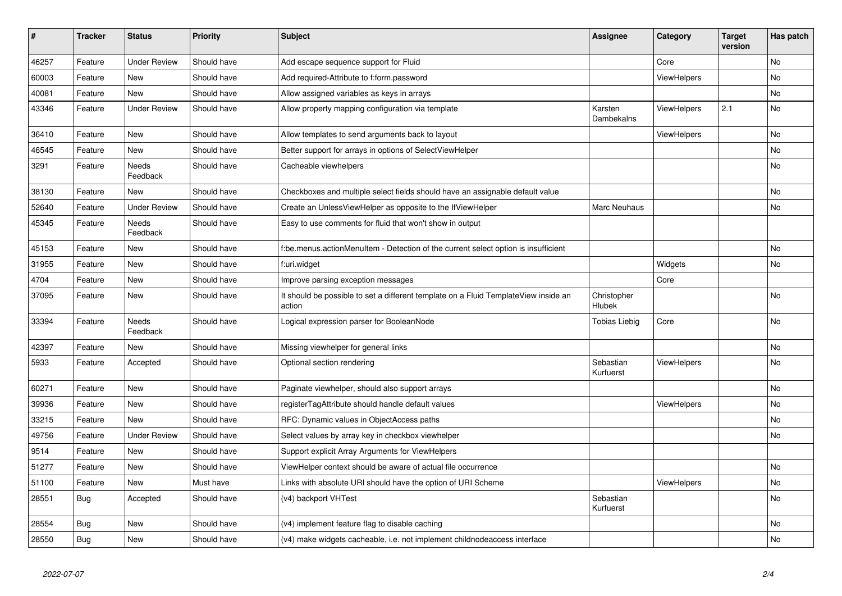| $\vert$ # | <b>Tracker</b> | <b>Status</b>            | <b>Priority</b> | <b>Subject</b>                                                                                | <b>Assignee</b>        | Category           | <b>Target</b><br>version | Has patch |
|-----------|----------------|--------------------------|-----------------|-----------------------------------------------------------------------------------------------|------------------------|--------------------|--------------------------|-----------|
| 46257     | Feature        | <b>Under Review</b>      | Should have     | Add escape sequence support for Fluid                                                         |                        | Core               |                          | <b>No</b> |
| 60003     | Feature        | New                      | Should have     | Add required-Attribute to f:form.password                                                     |                        | <b>ViewHelpers</b> |                          | <b>No</b> |
| 40081     | Feature        | <b>New</b>               | Should have     | Allow assigned variables as keys in arrays                                                    |                        |                    |                          | No        |
| 43346     | Feature        | <b>Under Review</b>      | Should have     | Allow property mapping configuration via template                                             | Karsten<br>Dambekalns  | <b>ViewHelpers</b> | 2.1                      | No        |
| 36410     | Feature        | New                      | Should have     | Allow templates to send arguments back to layout                                              |                        | <b>ViewHelpers</b> |                          | <b>No</b> |
| 46545     | Feature        | New                      | Should have     | Better support for arrays in options of SelectViewHelper                                      |                        |                    |                          | No        |
| 3291      | Feature        | Needs<br>Feedback        | Should have     | Cacheable viewhelpers                                                                         |                        |                    |                          | <b>No</b> |
| 38130     | Feature        | New                      | Should have     | Checkboxes and multiple select fields should have an assignable default value                 |                        |                    |                          | <b>No</b> |
| 52640     | Feature        | <b>Under Review</b>      | Should have     | Create an UnlessViewHelper as opposite to the IfViewHelper                                    | Marc Neuhaus           |                    |                          | No        |
| 45345     | Feature        | Needs<br>Feedback        | Should have     | Easy to use comments for fluid that won't show in output                                      |                        |                    |                          |           |
| 45153     | Feature        | New                      | Should have     | f:be.menus.actionMenuItem - Detection of the current select option is insufficient            |                        |                    |                          | No        |
| 31955     | Feature        | New                      | Should have     | f:uri.widget                                                                                  |                        | Widgets            |                          | No        |
| 4704      | Feature        | New                      | Should have     | Improve parsing exception messages                                                            |                        | Core               |                          |           |
| 37095     | Feature        | New                      | Should have     | It should be possible to set a different template on a Fluid TemplateView inside an<br>action | Christopher<br>Hlubek  |                    |                          | No        |
| 33394     | Feature        | <b>Needs</b><br>Feedback | Should have     | Logical expression parser for BooleanNode                                                     | <b>Tobias Liebig</b>   | Core               |                          | <b>No</b> |
| 42397     | Feature        | <b>New</b>               | Should have     | Missing viewhelper for general links                                                          |                        |                    |                          | <b>No</b> |
| 5933      | Feature        | Accepted                 | Should have     | Optional section rendering                                                                    | Sebastian<br>Kurfuerst | <b>ViewHelpers</b> |                          | <b>No</b> |
| 60271     | Feature        | New                      | Should have     | Paginate viewhelper, should also support arrays                                               |                        |                    |                          | No        |
| 39936     | Feature        | New                      | Should have     | registerTagAttribute should handle default values                                             |                        | <b>ViewHelpers</b> |                          | No        |
| 33215     | Feature        | <b>New</b>               | Should have     | RFC: Dynamic values in ObjectAccess paths                                                     |                        |                    |                          | <b>No</b> |
| 49756     | Feature        | <b>Under Review</b>      | Should have     | Select values by array key in checkbox viewhelper                                             |                        |                    |                          | <b>No</b> |
| 9514      | Feature        | <b>New</b>               | Should have     | Support explicit Array Arguments for ViewHelpers                                              |                        |                    |                          |           |
| 51277     | Feature        | New                      | Should have     | ViewHelper context should be aware of actual file occurrence                                  |                        |                    |                          | No        |
| 51100     | Feature        | <b>New</b>               | Must have       | Links with absolute URI should have the option of URI Scheme                                  |                        | ViewHelpers        |                          | No        |
| 28551     | Bug            | Accepted                 | Should have     | (v4) backport VHTest                                                                          | Sebastian<br>Kurfuerst |                    |                          | <b>No</b> |
| 28554     | Bug            | New                      | Should have     | (v4) implement feature flag to disable caching                                                |                        |                    |                          | <b>No</b> |
| 28550     | Bug            | <b>New</b>               | Should have     | (v4) make widgets cacheable, i.e. not implement childnodeaccess interface                     |                        |                    |                          | <b>No</b> |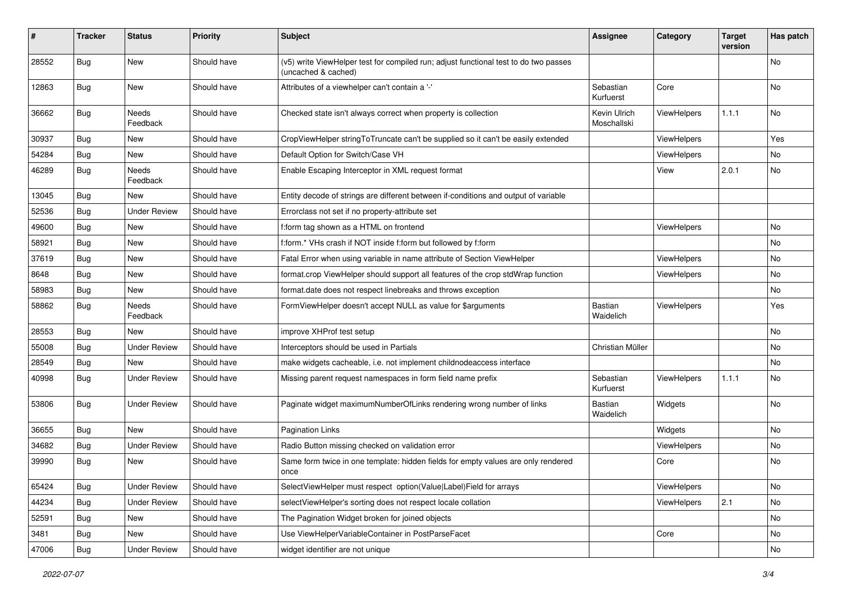| #     | <b>Tracker</b> | <b>Status</b>            | <b>Priority</b> | <b>Subject</b>                                                                                              | <b>Assignee</b>             | Category           | <b>Target</b><br>version | Has patch |
|-------|----------------|--------------------------|-----------------|-------------------------------------------------------------------------------------------------------------|-----------------------------|--------------------|--------------------------|-----------|
| 28552 | Bug            | <b>New</b>               | Should have     | (v5) write ViewHelper test for compiled run; adjust functional test to do two passes<br>(uncached & cached) |                             |                    |                          | <b>No</b> |
| 12863 | Bug            | New                      | Should have     | Attributes of a viewhelper can't contain a '-'                                                              | Sebastian<br>Kurfuerst      | Core               |                          | No        |
| 36662 | Bug            | Needs<br>Feedback        | Should have     | Checked state isn't always correct when property is collection                                              | Kevin Ulrich<br>Moschallski | <b>ViewHelpers</b> | 1.1.1                    | No        |
| 30937 | <b>Bug</b>     | <b>New</b>               | Should have     | CropViewHelper stringToTruncate can't be supplied so it can't be easily extended                            |                             | ViewHelpers        |                          | Yes       |
| 54284 | Bug            | <b>New</b>               | Should have     | Default Option for Switch/Case VH                                                                           |                             | <b>ViewHelpers</b> |                          | No        |
| 46289 | <b>Bug</b>     | <b>Needs</b><br>Feedback | Should have     | Enable Escaping Interceptor in XML request format                                                           |                             | View               | 2.0.1                    | No        |
| 13045 | Bug            | New                      | Should have     | Entity decode of strings are different between if-conditions and output of variable                         |                             |                    |                          |           |
| 52536 | Bug            | <b>Under Review</b>      | Should have     | Errorclass not set if no property-attribute set                                                             |                             |                    |                          |           |
| 49600 | <b>Bug</b>     | <b>New</b>               | Should have     | f:form tag shown as a HTML on frontend                                                                      |                             | <b>ViewHelpers</b> |                          | No        |
| 58921 | Bug            | <b>New</b>               | Should have     | f:form.* VHs crash if NOT inside f:form but followed by f:form                                              |                             |                    |                          | No        |
| 37619 | Bug            | New                      | Should have     | Fatal Error when using variable in name attribute of Section ViewHelper                                     |                             | ViewHelpers        |                          | No        |
| 8648  | Bug            | <b>New</b>               | Should have     | format.crop ViewHelper should support all features of the crop stdWrap function                             |                             | <b>ViewHelpers</b> |                          | No        |
| 58983 | Bug            | <b>New</b>               | Should have     | format.date does not respect linebreaks and throws exception                                                |                             |                    |                          | No        |
| 58862 | Bug            | Needs<br>Feedback        | Should have     | FormViewHelper doesn't accept NULL as value for \$arguments                                                 | <b>Bastian</b><br>Waidelich | <b>ViewHelpers</b> |                          | Yes       |
| 28553 | Bug            | <b>New</b>               | Should have     | improve XHProf test setup                                                                                   |                             |                    |                          | <b>No</b> |
| 55008 | <b>Bug</b>     | <b>Under Review</b>      | Should have     | Interceptors should be used in Partials                                                                     | Christian Müller            |                    |                          | No        |
| 28549 | Bug            | <b>New</b>               | Should have     | make widgets cacheable, i.e. not implement childnodeaccess interface                                        |                             |                    |                          | No        |
| 40998 | Bug            | <b>Under Review</b>      | Should have     | Missing parent request namespaces in form field name prefix                                                 | Sebastian<br>Kurfuerst      | <b>ViewHelpers</b> | 1.1.1                    | No        |
| 53806 | Bug            | <b>Under Review</b>      | Should have     | Paginate widget maximumNumberOfLinks rendering wrong number of links                                        | <b>Bastian</b><br>Waidelich | Widgets            |                          | No.       |
| 36655 | <b>Bug</b>     | <b>New</b>               | Should have     | <b>Pagination Links</b>                                                                                     |                             | Widgets            |                          | No        |
| 34682 | Bug            | <b>Under Review</b>      | Should have     | Radio Button missing checked on validation error                                                            |                             | ViewHelpers        |                          | No        |
| 39990 | Bug            | New                      | Should have     | Same form twice in one template: hidden fields for empty values are only rendered<br>once                   |                             | Core               |                          | No        |
| 65424 | Bug            | <b>Under Review</b>      | Should have     | SelectViewHelper must respect option(Value Label)Field for arrays                                           |                             | ViewHelpers        |                          | No        |
| 44234 | Bug            | <b>Under Review</b>      | Should have     | selectViewHelper's sorting does not respect locale collation                                                |                             | ViewHelpers        | 2.1                      | No        |
| 52591 | Bug            | New                      | Should have     | The Pagination Widget broken for joined objects                                                             |                             |                    |                          | No        |
| 3481  | Bug            | New                      | Should have     | Use ViewHelperVariableContainer in PostParseFacet                                                           |                             | Core               |                          | No        |
| 47006 | Bug            | <b>Under Review</b>      | Should have     | widget identifier are not unique                                                                            |                             |                    |                          | No        |